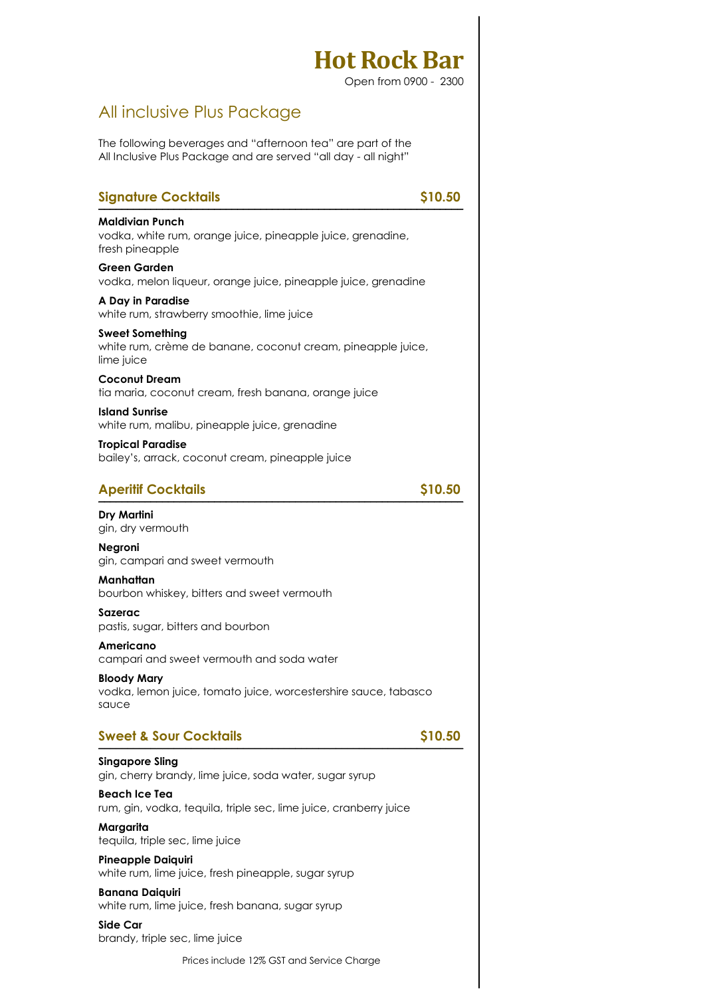Open from 0900 - 2300

### All inclusive Plus Package

The following beverages and "afternoon tea" are part of the All Inclusive Plus Package and are served "all day - all night"

| <b>Signature Cocktails</b>                                                                               | \$10.50 |
|----------------------------------------------------------------------------------------------------------|---------|
| <b>Maldivian Punch</b><br>vodka, white rum, orange juice, pineapple juice, grenadine,<br>fresh pineapple |         |
| <b>Green Garden</b><br>vodka, melon liqueur, orange juice, pineapple juice, grenadine                    |         |
| A Day in Paradise<br>white rum, strawberry smoothie, lime juice                                          |         |
| <b>Sweet Something</b><br>white rum, crème de banane, coconut cream, pineapple juice,<br>lime juice      |         |
| <b>Coconut Dream</b><br>tia maria, coconut cream, fresh banana, orange juice                             |         |
| <b>Island Sunrise</b><br>white rum, malibu, pineapple juice, grenadine                                   |         |
| <b>Tropical Paradise</b><br>bailey's, arrack, coconut cream, pineapple juice                             |         |
| <b>Aperitif Cocktails</b>                                                                                | \$10.50 |
| <b>Dry Martini</b><br>gin, dry vermouth                                                                  |         |
| <b>Negroni</b><br>gin, campari and sweet vermouth                                                        |         |
| Manhattan<br>bourbon whiskey, bitters and sweet vermouth                                                 |         |
| Sazerac<br>pastis, sugar, bitters and bourbon                                                            |         |
| Americano<br>campari and sweet vermouth and soda water                                                   |         |
| <b>Bloody Mary</b><br>vodka, lemon juice, tomato juice, worcestershire sauce, tabasco<br>sauce           |         |
| <b>Sweet &amp; Sour Cocktails</b>                                                                        | \$10.50 |
| <b>Singapore Sling</b><br>gin, cherry brandy, lime juice, soda water, sugar syrup                        |         |
| Beach Ice Tea<br>rum, gin, vodka, tequila, triple sec, lime juice, cranberry juice                       |         |
| Margarita<br>tequila, triple sec, lime juice                                                             |         |
| <b>Pineapple Daiquiri</b><br>white rum, lime juice, fresh pineapple, sugar syrup                         |         |
| <b>Banana Daiquiri</b><br>white rum, lime juice, fresh banana, sugar syrup                               |         |
| <b>Side Car</b>                                                                                          |         |

brandy, triple sec, lime juice

Prices include 12% GST and Service Charge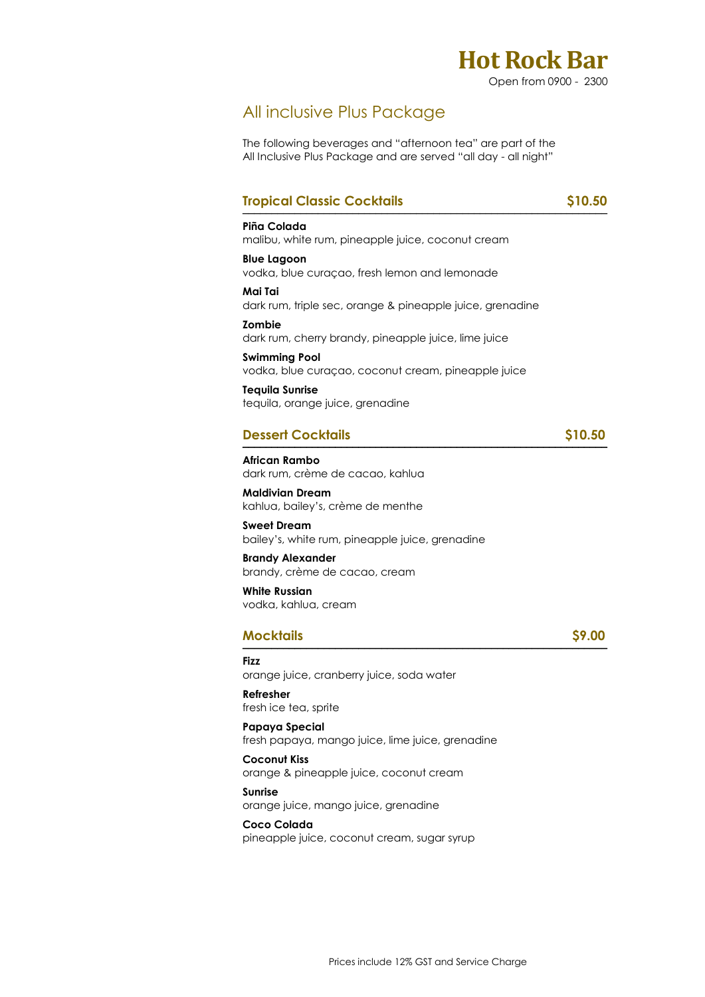

### All inclusive Plus Package

The following beverages and "afternoon tea" are part of the All Inclusive Plus Package and are served "all day - all night"

### **Tropical Classic Cocktails** \$10.50

#### **Piña Colada**  malibu, white rum, pineapple juice, coconut cream

**Blue Lagoon**  vodka, blue curaçao, fresh lemon and lemonade

**Mai Tai**  dark rum, triple sec, orange & pineapple juice, grenadine

**Zombie**  dark rum, cherry brandy, pineapple juice, lime juice

**Swimming Pool**  vodka, blue curaçao, coconut cream, pineapple juice

**Tequila Sunrise**  tequila, orange juice, grenadine

### **Dessert Cocktails \$10.50**

**African Rambo**  dark rum, crème de cacao, kahlua

**Maldivian Dream**  kahlua, bailey's, crème de menthe

**Sweet Dream**  bailey's, white rum, pineapple juice, grenadine

**Brandy Alexander**  brandy, crème de cacao, cream

**White Russian**  vodka, kahlua, cream

#### **Mocktails \$9.00**   $MOCK$ TOIIS  $\frac{1}{2}$

**Fizz** 

orange juice, cranberry juice, soda water

**Refresher**  fresh ice tea, sprite

**Papaya Special**  fresh papaya, mango juice, lime juice, grenadine

**Coconut Kiss**  orange & pineapple juice, coconut cream

**Sunrise**  orange juice, mango juice, grenadine

**Coco Colada**  pineapple juice, coconut cream, sugar syrup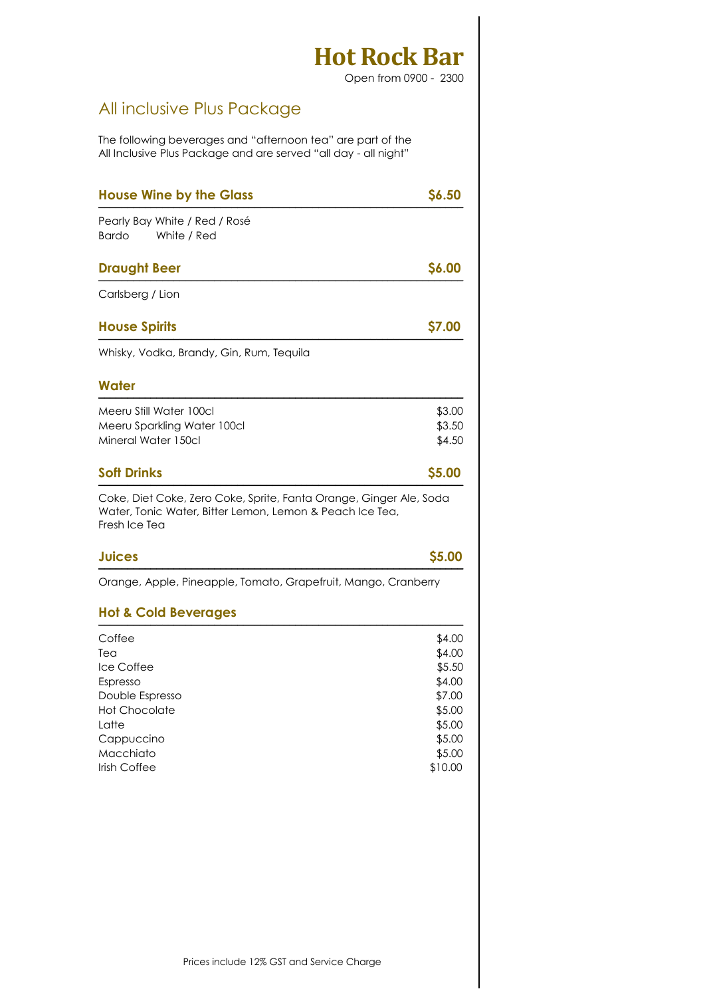Open from 0900 - 2300

## All inclusive Plus Package

The following beverages and "afternoon tea" are part of the All Inclusive Plus Package and are served "all day - all night"

| <b>House Wine by the Glass</b>                                                                                                                  | \$6.50                                                                                           |
|-------------------------------------------------------------------------------------------------------------------------------------------------|--------------------------------------------------------------------------------------------------|
| Pearly Bay White / Red / Rosé<br><b>Bardo</b><br>White / Red                                                                                    |                                                                                                  |
| <b>Draught Beer</b>                                                                                                                             | \$6.00                                                                                           |
| Carlsberg / Lion                                                                                                                                |                                                                                                  |
| <b>House Spirits</b>                                                                                                                            | \$7.00                                                                                           |
| Whisky, Vodka, Brandy, Gin, Rum, Tequila                                                                                                        |                                                                                                  |
| Water                                                                                                                                           |                                                                                                  |
| Meeru Still Water 100cl                                                                                                                         | \$3.00                                                                                           |
| Meeru Sparkling Water 100cl                                                                                                                     | \$3.50                                                                                           |
| Mineral Water 150cl                                                                                                                             | \$4.50                                                                                           |
|                                                                                                                                                 |                                                                                                  |
| <b>Soft Drinks</b>                                                                                                                              | \$5.00                                                                                           |
| Coke, Diet Coke, Zero Coke, Sprite, Fanta Orange, Ginger Ale, Soda<br>Water, Tonic Water, Bitter Lemon, Lemon & Peach Ice Tea,<br>Fresh Ice Tea |                                                                                                  |
| <b>Juices</b>                                                                                                                                   |                                                                                                  |
| Orange, Apple, Pineapple, Tomato, Grapefruit, Mango, Cranberry                                                                                  |                                                                                                  |
| <b>Hot &amp; Cold Beverages</b>                                                                                                                 |                                                                                                  |
| Coffee                                                                                                                                          |                                                                                                  |
| Tea                                                                                                                                             |                                                                                                  |
| Ice Coffee                                                                                                                                      |                                                                                                  |
| Espresso                                                                                                                                        |                                                                                                  |
| Double Espresso                                                                                                                                 |                                                                                                  |
| <b>Hot Chocolate</b>                                                                                                                            |                                                                                                  |
| Latte                                                                                                                                           |                                                                                                  |
| Cappuccino                                                                                                                                      |                                                                                                  |
| Macchiato                                                                                                                                       | \$5.00<br>\$4.00<br>\$4.00<br>\$5.50<br>\$4.00<br>\$7.00<br>\$5.00<br>\$5.00<br>\$5.00<br>\$5.00 |
| Irish Coffee                                                                                                                                    | \$10.00                                                                                          |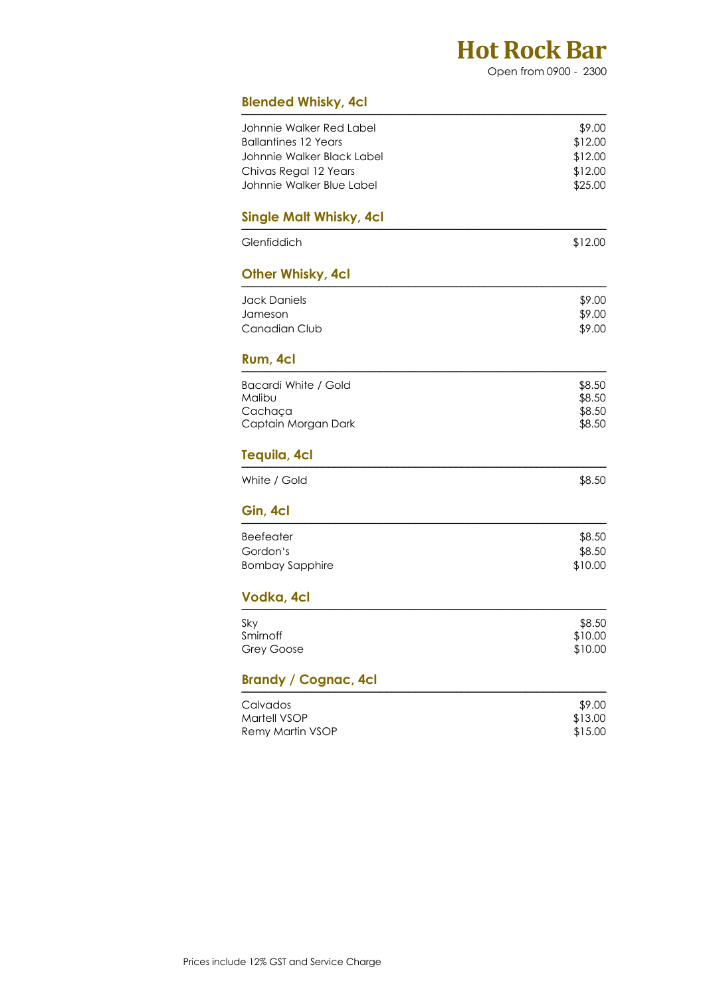Open from 0900 - 2300

|  | <b>Blended Whisky, 4cl</b> |  |
|--|----------------------------|--|
|  |                            |  |

| biended Whisky, 4Cl              |                    |
|----------------------------------|--------------------|
| Johnnie Walker Red Label         | \$9.00             |
| <b>Ballantines 12 Years</b>      | \$12.00            |
| Johnnie Walker Black Label       | \$12.00            |
| Chivas Regal 12 Years            | \$12.00            |
| Johnnie Walker Blue Label        | \$25.00            |
| <b>Single Malt Whisky, 4cl</b>   |                    |
| Glenfiddich                      | \$12.00            |
| Other Whisky, 4cl                |                    |
| <b>Jack Daniels</b>              | \$9.00             |
| Jameson                          | \$9.00             |
| Canadian Club                    | \$9.00             |
| Rum, 4cl                         |                    |
| Bacardi White / Gold             | \$8.50             |
| Malibu                           | \$8.50             |
| Cachaça<br>Captain Morgan Dark   | \$8.50<br>\$8.50   |
|                                  |                    |
| Tequila, 4cl                     |                    |
| White / Gold                     | \$8.50             |
| Gin, 4cl                         |                    |
| <b>Beefeater</b>                 | \$8.50             |
| Gordon's                         | \$8.50             |
| <b>Bombay Sapphire</b>           | \$10.00            |
| Vodka, 4cl                       |                    |
| Sky                              | \$8.50             |
| Smirnoff                         | \$10.00            |
| <b>Grey Goose</b>                | \$10.00            |
| <b>Brandy / Cognac, 4cl</b>      |                    |
| Calvados                         | \$9.00             |
| Martell VSOP<br>Remy Martin VSOP | \$13.00<br>\$15.00 |
|                                  |                    |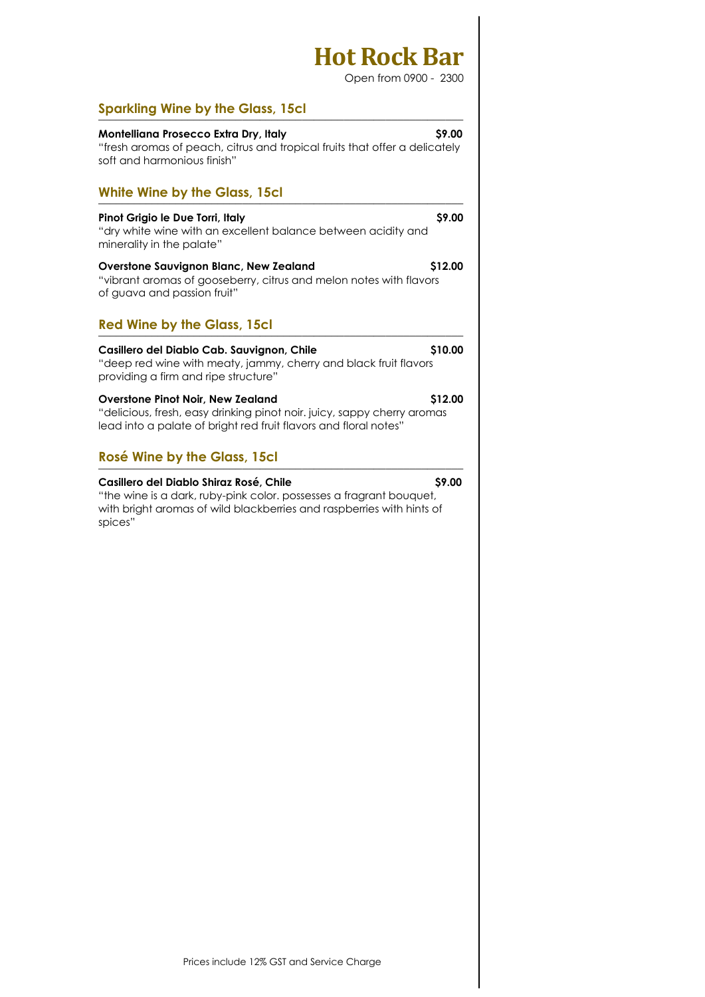Open from 0900 - 2300

|--|

| \$9.00<br>Montelliana Prosecco Extra Dry, Italy<br>"fresh aromas of peach, citrus and tropical fruits that offer a delicately<br>soft and harmonious finish"                            |         |  |
|-----------------------------------------------------------------------------------------------------------------------------------------------------------------------------------------|---------|--|
| <b>White Wine by the Glass, 15cl</b>                                                                                                                                                    |         |  |
| Pinot Grigio le Due Torri, Italy<br>"dry white wine with an excellent balance between acidity and<br>minerality in the palate"                                                          | \$9.00  |  |
| <b>Overstone Sauvignon Blanc, New Zealand</b><br>"vibrant aromas of gooseberry, citrus and melon notes with flavors<br>of guava and passion fruit"                                      | \$12.00 |  |
| <b>Red Wine by the Glass, 15cl</b>                                                                                                                                                      |         |  |
| Casillero del Diablo Cab. Sauvignon, Chile<br>"deep red wine with meaty, jammy, cherry and black fruit flavors<br>providing a firm and ripe structure"                                  | \$10.00 |  |
| <b>Overstone Pinot Noir, New Zealand</b><br>"delicious, fresh, easy drinking pinot noir. juicy, sappy cherry aromas<br>lead into a palate of bright red fruit flavors and floral notes" | \$12.00 |  |
| <b>Rosé Wine by the Glass, 15cl</b>                                                                                                                                                     |         |  |
| Casillero del Diablo Shiraz Rosé, Chile<br>المستمريط والمستعصص والمفعوم ومعموما والمصالحات بالمرابع واسطورها والمتحارب                                                                  | \$9.00  |  |

"the wine is a dark, ruby-pink color. possesses a fragrant bouquet, with bright aromas of wild blackberries and raspberries with hints of spices"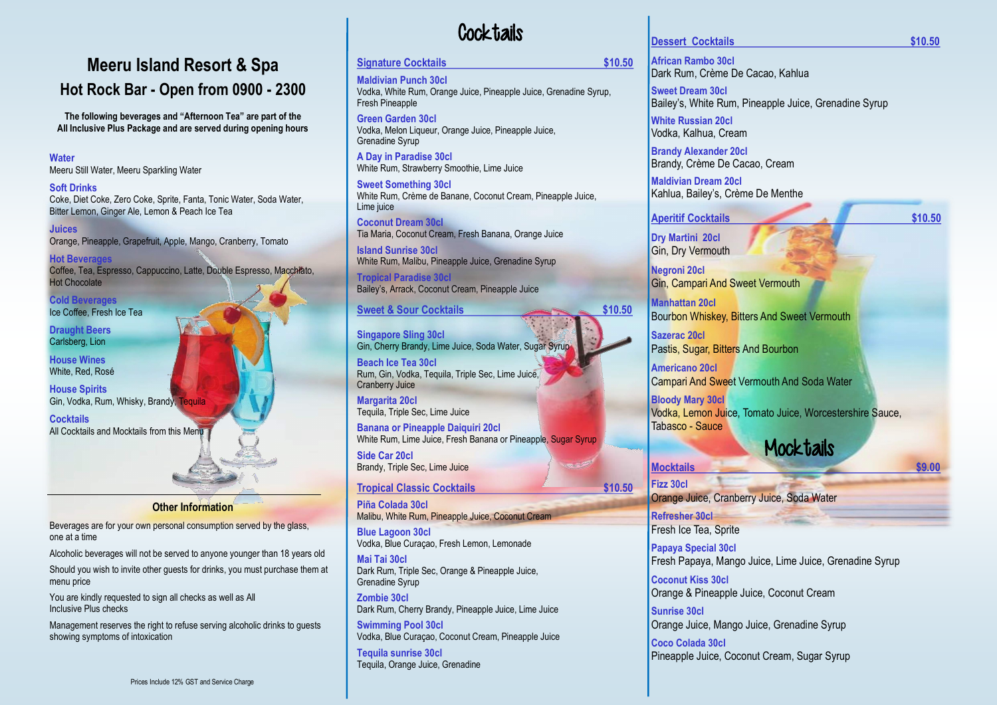### **Water**

Meeru Still Water, Meeru Sparkling Water

### **Soft Drinks**

Coke, Diet Coke, Zero Coke, Sprite, Fanta, Tonic Water, Soda Water, Bitter Lemon, Ginger Ale, Lemon & Peach Ice Tea

**Juices** Orange, Pineapple, Grapefruit, Apple, Mango, Cranberry, Tomato

**Cocktails** All Cocktails and Mocktails from this Menu

**Hot Beverages** Coffee, Tea, Espresso, Cappuccino, Latte, Double Espresso, Macchiato, Hot Chocolate

**Cold Beverages** Ice Coffee, Fresh Ice Tea

**Draught Beers** Carlsberg, Lion

**House Wines** White, Red, Rosé

**House Spirits** Gin, Vodka, Rum, Whisky, Brandy, Tequila

### **Other Information**

Beverages are for your own personal consumption served by the glass, one at a time

Alcoholic beverages will not be served to anyone younger than 18 years old

Should you wish to invite other guests for drinks, you must purchase them at menu price

You are kindly requested to sign all checks as well as All Inclusive Plus checks

Management reserves the right to refuse serving alcoholic drinks to guests showing symptoms of intoxication

# **Cocktails**

## **Signature Cocktails \$10.50**

**Maldivian Punch 30cl** Vodka, White Rum, Orange Juice, Pineapple Juice, Grenadine Syrup, Fresh Pineapple

**Green Garden 30cl** Vodka, Melon Liqueur, Orange Juice, Pineapple Juice, Grenadine Syrup

**A Day in Paradise 30cl** White Rum, Strawberry Smoothie, Lime Juice

**Sweet Something 30cl** White Rum, Crème de Banane, Coconut Cream, Pineapple Juice, Lime juice

#### **Dessert Cocktails \$10.50**

**Coconut Dream 30cl** Tia Maria, Coconut Cream, Fresh Banana, Orange Juice

**Island Sunrise 30cl** White Rum, Malibu, Pineapple Juice, Grenadine Syrup

**Tropical Paradise 30cl** Bailey's, Arrack, Coconut Cream, Pineapple Juice

### Sweet & Sour Cocktails **\$10.50**

**Singapore Sling 30cl**  Gin, Cherry Brandy, Lime Juice, Soda Water, Sugar Syrup

**Aperitif Cocktails \$10.50 Dry Martini 20cl** Gin, Dry Vermouth **Negroni 20cl** Gin, Campari And Sweet Vermouth **Manhattan 20cl** Bourbon Whiskey, Bitters And Sweet Vermouth **Sazerac 20cl** Pastis, Sugar, Bitters And Bourbon **Americano 20cl** Campari And Sweet Vermouth And Soda Water **Bloody Mary 30cl** Vodka, Lemon Juice, Tomato Juice, Worcestershire Sauce, Tabasco - Sauce **Mocktails Mocktails** \$9.00 **Fizz 30cl** Orange Juice, Cranberry Juice, Soda Water **Refresher 30cl**

**Beach Ice Tea 30cl** Rum, Gin, Vodka, Tequila, Triple Sec, Lime Juice, Cranberry Juice

**Margarita 20cl** Tequila, Triple Sec, Lime Juice

**Banana or Pineapple Daiquiri 20cl** White Rum, Lime Juice, Fresh Banana or Pineapple, Sugar Syrup

**Side Car 20cl** Brandy, Triple Sec, Lime Juice

### **Tropical Classic Cocktails \$10.50**

**Piña Colada 30cl**  Malibu, White Rum, Pineapple Juice, Coconut Cream

**Blue Lagoon 30cl** Vodka, Blue Curaçao, Fresh Lemon, Lemonade

**Mai Tai 30cl** Dark Rum, Triple Sec, Orange & Pineapple Juice, Grenadine Syrup

**Zombie 30cl** Dark Rum, Cherry Brandy, Pineapple Juice, Lime Juice

**Swimming Pool 30cl** Vodka, Blue Curaçao, Coconut Cream, Pineapple Juice

**Tequila sunrise 30cl**  Tequila, Orange Juice, Grenadine



# **Meeru Island Resort & Spa Hot Rock Bar - Open from 0900 - 2300**

**The following beverages and "Afternoon Tea" are part of the All Inclusive Plus Package and are served during opening hours** **African Rambo 30cl** Dark Rum, Crème De Cacao, Kahlua

**Sweet Dream 30cl** Bailey's, White Rum, Pineapple Juice, Grenadine Syrup

**White Russian 20cl** Vodka, Kalhua, Cream

**Brandy Alexander 20cl**  Brandy, Crème De Cacao, Cream

**Maldivian Dream 20cl** Kahlua, Bailey's, Crème De Menthe

Fresh Ice Tea, Sprite

**Papaya Special 30cl**

Fresh Papaya, Mango Juice, Lime Juice, Grenadine Syrup

**Coconut Kiss 30cl** Orange & Pineapple Juice, Coconut Cream

**Sunrise 30cl** Orange Juice, Mango Juice, Grenadine Syrup

**Coco Colada 30cl** Pineapple Juice, Coconut Cream, Sugar Syrup